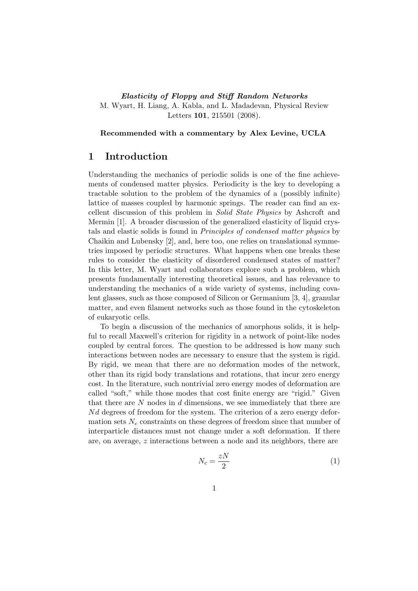#### Elasticity of Floppy and Stiff Random Networks M. Wyart, H. Liang, A. Kabla, and L. Madadevan, Physical Review Letters 101, 215501 (2008).

Recommended with a commentary by Alex Levine, UCLA

#### 1 Introduction

Understanding the mechanics of periodic solids is one of the fine achievements of condensed matter physics. Periodicity is the key to developing a tractable solution to the problem of the dynamics of a (possibly infinite) lattice of masses coupled by harmonic springs. The reader can find an excellent discussion of this problem in Solid State Physics by Ashcroft and Mermin [1]. A broader discussion of the generalized elasticity of liquid crystals and elastic solids is found in Principles of condensed matter physics by Chaikin and Lubensky [2], and, here too, one relies on translational symmetries imposed by periodic structures. What happens when one breaks these rules to consider the elasticity of disordered condensed states of matter? In this letter, M. Wyart and collaborators explore such a problem, which presents fundamentally interesting theoretical issues, and has relevance to understanding the mechanics of a wide variety of systems, including covalent glasses, such as those composed of Silicon or Germanium [3, 4], granular matter, and even filament networks such as those found in the cytoskeleton of eukaryotic cells.

To begin a discussion of the mechanics of amorphous solids, it is helpful to recall Maxwell's criterion for rigidity in a network of point-like nodes coupled by central forces. The question to be addressed is how many such interactions between nodes are necessary to ensure that the system is rigid. By rigid, we mean that there are no deformation modes of the network, other than its rigid body translations and rotations, that incur zero energy cost. In the literature, such nontrivial zero energy modes of deformation are called "soft," while those modes that cost finite energy are "rigid." Given that there are  $N$  nodes in  $d$  dimensions, we see immediately that there are  $N_d$  degrees of freedom for the system. The criterion of a zero energy deformation sets  $N_c$  constraints on these degrees of freedom since that number of interparticle distances must not change under a soft deformation. If there are, on average, z interactions between a node and its neighbors, there are

$$
N_c = \frac{zN}{2} \tag{1}
$$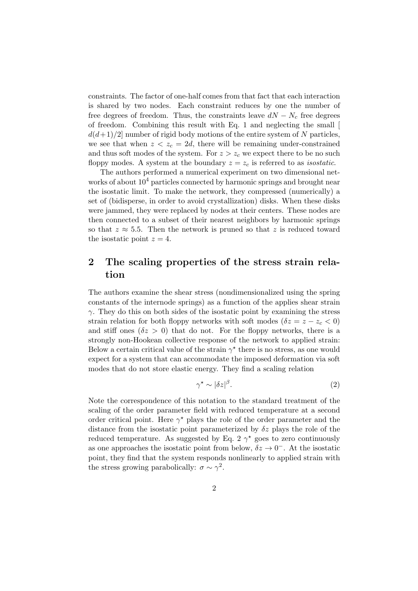constraints. The factor of one-half comes from that fact that each interaction is shared by two nodes. Each constraint reduces by one the number of free degrees of freedom. Thus, the constraints leave  $dN - N_c$  free degrees of freedom. Combining this result with Eq. 1 and neglecting the small [  $d(d+1)/2$  number of rigid body motions of the entire system of N particles, we see that when  $z < z_c = 2d$ , there will be remaining under-constrained and thus soft modes of the system. For  $z > z_c$  we expect there to be no such floppy modes. A system at the boundary  $z = z_c$  is referred to as *isostatic*.

The authors performed a numerical experiment on two dimensional networks of about  $10^4$  particles connected by harmonic springs and brought near the isostatic limit. To make the network, they compressed (numerically) a set of (bidisperse, in order to avoid crystallization) disks. When these disks were jammed, they were replaced by nodes at their centers. These nodes are then connected to a subset of their nearest neighbors by harmonic springs so that  $z \approx 5.5$ . Then the network is pruned so that z is reduced toward the isostatic point  $z = 4$ .

## 2 The scaling properties of the stress strain relation

The authors examine the shear stress (nondimensionalized using the spring constants of the internode springs) as a function of the applies shear strain  $\gamma$ . They do this on both sides of the isostatic point by examining the stress strain relation for both floppy networks with soft modes ( $\delta z = z - z_c < 0$ ) and stiff ones  $(\delta z > 0)$  that do not. For the floppy networks, there is a strongly non-Hookean collective response of the network to applied strain: Below a certain critical value of the strain  $\gamma^*$  there is no stress, as one would expect for a system that can accommodate the imposed deformation via soft modes that do not store elastic energy. They find a scaling relation

$$
\gamma^* \sim |\delta z|^{\beta}.\tag{2}
$$

Note the correspondence of this notation to the standard treatment of the scaling of the order parameter field with reduced temperature at a second order critical point. Here  $\gamma^*$  plays the role of the order parameter and the distance from the isostatic point parameterized by  $\delta z$  plays the role of the reduced temperature. As suggested by Eq. 2  $\gamma^*$  goes to zero continuously as one approaches the isostatic point from below,  $\delta z \to 0^-$ . At the isostatic point, they find that the system responds nonlinearly to applied strain with the stress growing parabolically:  $\sigma \sim \gamma^2$ .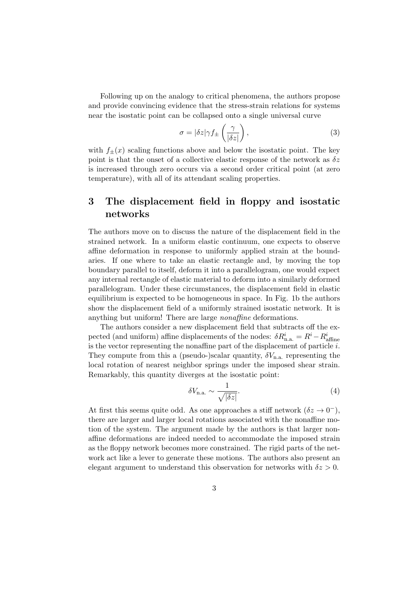Following up on the analogy to critical phenomena, the authors propose and provide convincing evidence that the stress-strain relations for systems near the isostatic point can be collapsed onto a single universal curve

$$
\sigma = |\delta z| \gamma f_{\pm} \left( \frac{\gamma}{|\delta z|} \right),\tag{3}
$$

with  $f_{+}(x)$  scaling functions above and below the isostatic point. The key point is that the onset of a collective elastic response of the network as  $\delta z$ is increased through zero occurs via a second order critical point (at zero temperature), with all of its attendant scaling properties.

# 3 The displacement field in floppy and isostatic networks

The authors move on to discuss the nature of the displacement field in the strained network. In a uniform elastic continuum, one expects to observe affine deformation in response to uniformly applied strain at the boundaries. If one where to take an elastic rectangle and, by moving the top boundary parallel to itself, deform it into a parallelogram, one would expect any internal rectangle of elastic material to deform into a similarly deformed parallelogram. Under these circumstances, the displacement field in elastic equilibrium is expected to be homogeneous in space. In Fig. 1b the authors show the displacement field of a uniformly strained isostatic network. It is anything but uniform! There are large nonaffine deformations.

The authors consider a new displacement field that subtracts off the expected (and uniform) affine displacements of the nodes:  $\delta R_{\rm n.a.}^i = R^i - R_{\rm affine}^i$ is the vector representing the nonaffine part of the displacement of particle  $i$ . They compute from this a (pseudo-)scalar quantity,  $\delta V_{n,a}$  representing the local rotation of nearest neighbor springs under the imposed shear strain. Remarkably, this quantity diverges at the isostatic point:

$$
\delta V_{\text{n.a.}} \sim \frac{1}{\sqrt{|\delta z|}}.\tag{4}
$$

At first this seems quite odd. As one approaches a stiff network  $(\delta z \to 0^-)$ , there are larger and larger local rotations associated with the nonaffine motion of the system. The argument made by the authors is that larger nonaffine deformations are indeed needed to accommodate the imposed strain as the floppy network becomes more constrained. The rigid parts of the network act like a lever to generate these motions. The authors also present an elegant argument to understand this observation for networks with  $\delta z > 0$ .